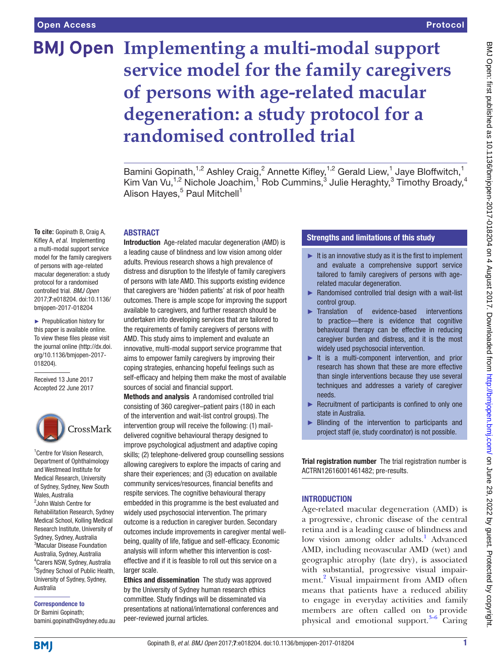# **BMJ Open Implementing a multi-modal support service model for the family caregivers of persons with age-related macular degeneration: a study protocol for a randomised controlled trial**

Bamini Gopinath,<sup>1,2</sup> Ashley Craig,<sup>2</sup> Annette Kifley,<sup>1,2</sup> Gerald Liew,<sup>1</sup> Jaye Bloffwitch,<sup>1</sup> Kim Van Vu,<sup>1,2</sup> Nichole Joachim,<sup>1</sup> Rob Cummins,<sup>3</sup> Julie Heraghty,<sup>3</sup> Timothy Broady,<sup>4</sup> Alison Hayes,<sup>5</sup> Paul Mitchell<sup>1</sup>

#### **ABSTRACT**

**To cite:** Gopinath B, Craig A, Kifley A, *et al*. Implementing a multi-modal support service model for the family caregivers of persons with age-related macular degeneration: a study protocol for a randomised controlled trial. *BMJ Open* 2017;7:e018204. doi:10.1136/ bmjopen-2017-018204

► Prepublication history for this paper is available online. To view these files please visit the journal online [\(http://dx.doi.](http://dx.doi.org/10.1136/bmjopen-2017-018204) [org/10.1136/bmjopen-2017-](http://dx.doi.org/10.1136/bmjopen-2017-018204) [018204\)](http://dx.doi.org/10.1136/bmjopen-2017-018204).

Received 13 June 2017 Accepted 22 June 2017



<sup>1</sup> Centre for Vision Research, Department of Ophthalmology and Westmead Institute for Medical Research, University of Sydney, Sydney, New South Wales, Australia 2 John Walsh Centre for Rehabilitation Research, Sydney Medical School, Kolling Medical Research Institute, University of Sydney, Sydney, Australia 3 Macular Disease Foundation Australia, Sydney, Australia 4 Carers NSW, Sydney, Australia 5 Sydney School of Public Health, University of Sydney, Sydney, Australia

#### Correspondence to

Dr Bamini Gopinath; bamini.gopinath@sydney.edu.au Introduction Age-related macular degeneration (AMD) is a leading cause of blindness and low vision among older adults. Previous research shows a high prevalence of distress and disruption to the lifestyle of family caregivers of persons with late AMD. This supports existing evidence that caregivers are 'hidden patients' at risk of poor health outcomes. There is ample scope for improving the support available to caregivers, and further research should be undertaken into developing services that are tailored to the requirements of family caregivers of persons with AMD. This study aims to implement and evaluate an innovative, multi-modal support service programme that aims to empower family caregivers by improving their coping strategies, enhancing hopeful feelings such as self-efficacy and helping them make the most of available sources of social and financial support.

Methods and analysis A randomised controlled trial consisting of 360 caregiver–patient pairs (180 in each of the intervention and wait-list control groups). The intervention group will receive the following: (1) maildelivered cognitive behavioural therapy designed to improve psychological adjustment and adaptive coping skills; (2) telephone-delivered group counselling sessions allowing caregivers to explore the impacts of caring and share their experiences; and (3) education on available community services/resources, financial benefits and respite services. The cognitive behavioural therapy embedded in this programme is the best evaluated and widely used psychosocial intervention. The primary outcome is a reduction in caregiver burden. Secondary outcomes include improvements in caregiver mental wellbeing, quality of life, fatigue and self-efficacy. Economic analysis will inform whether this intervention is costeffective and if it is feasible to roll out this service on a larger scale.

Ethics and dissemination The study was approved by the University of Sydney human research ethics committee. Study findings will be disseminated via presentations at national/international conferences and peer-reviewed journal articles.

## Strengths and limitations of this study

- $\blacktriangleright$  It is an innovative study as it is the first to implement and evaluate a comprehensive support service tailored to family caregivers of persons with agerelated macular degeneration.
- ► Randomised controlled trial design with a wait-list control group.
- ► Translation of evidence-based interventions to practice—there is evidence that cognitive behavioural therapy can be effective in reducing caregiver burden and distress, and it is the most widely used psychosocial intervention.
- ► It is a multi-component intervention, and prior research has shown that these are more effective than single interventions because they use several techniques and addresses a variety of caregiver needs.
- ► Recruitment of participants is confined to only one state in Australia.
- ► Blinding of the intervention to participants and project staff (ie, study coordinator) is not possible.

Trial registration number The trial registration number is ACTRN12616001461482; pre-results.

# **INTRODUCTION**

Age-related macular degeneration (AMD) is a progressive, chronic disease of the central retina and is a leading cause of blindness and low vision among older adults.<sup>[1](#page-7-0)</sup> Advanced AMD, including neovascular AMD (wet) and geographic atrophy (late dry), is associated with substantial, progressive visual impair-ment.<sup>[2](#page-7-1)</sup> Visual impairment from AMD often means that patients have a reduced ability to engage in everyday activities and family members are often called on to provide physical and emotional support. $3-6$  Caring

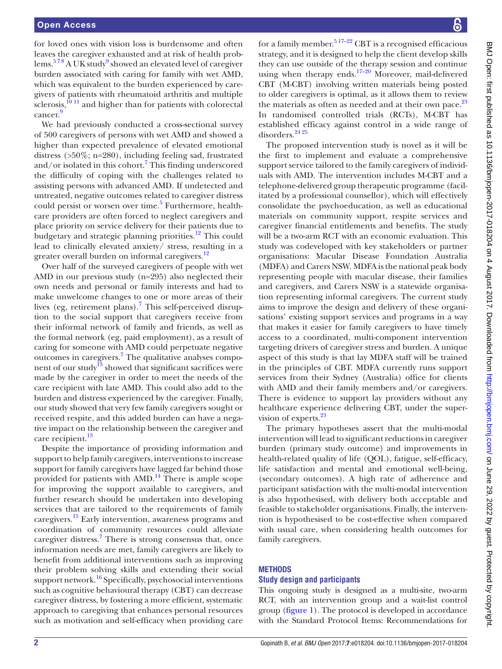for loved ones with vision loss is burdensome and often leaves the caregiver exhausted and at risk of health prob-lems.<sup>578</sup> A UK study<sup>[9](#page-7-4)</sup> showed an elevated level of caregiver burden associated with caring for family with wet AMD, which was equivalent to the burden experienced by caregivers of patients with rheumatoid arthritis and multiple  $s$ clerosis,<sup>[10 11](#page-7-5)</sup> and higher than for patients with colorectal cancer. [9](#page-7-4)

We had previously conducted a cross-sectional survey of 500 caregivers of persons with wet AMD and showed a higher than expected prevalence of elevated emotional distress (>50%; n=280), including feeling sad, frustrated and/or isolated in this cohort.<sup>[7](#page-7-6)</sup> This finding underscored the difficulty of coping with the challenges related to assisting persons with advanced AMD. If undetected and untreated, negative outcomes related to caregiver distress could persist or worsen over time.<sup>5</sup> Furthermore, healthcare providers are often forced to neglect caregivers and place priority on service delivery for their patients due to budgetary and strategic planning priorities.<sup>[12](#page-7-7)</sup> This could lead to clinically elevated anxiety/ stress, resulting in a greater overall burden on informal caregivers.<sup>[12](#page-7-7)</sup>

Over half of the surveyed caregivers of people with wet AMD in our previous study (n=295) also neglected their own needs and personal or family interests and had to make unwelcome changes to one or more areas of their lives (eg, retirement plans).<sup>[7](#page-7-6)</sup> This self-perceived disruption to the social support that caregivers receive from their informal network of family and friends, as well as the formal network (eg, paid employment), as a result of caring for someone with AMD could perpetuate negative outcomes in caregivers.<sup>[7](#page-7-6)</sup> The qualitative analyses component of our study $13$  showed that significant sacrifices were made by the caregiver in order to meet the needs of the care recipient with late AMD. This could also add to the burden and distress experienced by the caregiver. Finally, our study showed that very few family caregivers sought or received respite, and this added burden can have a negative impact on the relationship between the caregiver and care recipient.<sup>13</sup>

Despite the importance of providing information and support to help family caregivers, interventions to increase support for family caregivers have lagged far behind those provided for patients with  $AMD.<sup>14</sup>$  There is ample scope for improving the support available to caregivers, and further research should be undertaken into developing services that are tailored to the requirements of family caregivers[.15](#page-7-10) Early intervention, awareness programs and coordination of community resources could alleviate caregiver distress.<sup>[7](#page-7-6)</sup> There is strong consensus that, once information needs are met, family caregivers are likely to benefit from additional interventions such as improving their problem solving skills and extending their social support network.<sup>16</sup> Specifically, psychosocial interventions such as cognitive behavioural therapy (CBT) can decrease caregiver distress, by fostering a more efficient, systematic approach to caregiving that enhances personal resources such as motivation and self-efficacy when providing care

for a family member.<sup>5 17–22</sup> CBT is a recognised efficacious strategy, and it is designed to help the client develop skills they can use outside of the therapy session and continue using when therapy ends.<sup>17–20</sup> Moreover, mail-delivered CBT (M-CBT) involving written materials being posted to older caregivers is optimal, as it allows them to review the materials as often as needed and at their own pace. $^{23}$  $^{23}$  $^{23}$ In randomised controlled trials (RCTs), M-CBT has established efficacy against control in a wide range of disorders.<sup>[24 25](#page-8-0)</sup>

The proposed intervention study is novel as it will be the first to implement and evaluate a comprehensive support service tailored to the family caregivers of individuals with AMD. The intervention includes M-CBT and a telephone-delivered group therapeutic programme (facilitated by a professional counsellor), which will effectively consolidate the psychoeducation, as well as educational materials on community support, respite services and caregiver financial entitlements and benefits. The study will be a two-arm RCT with an economic evaluation. This study was codeveloped with key stakeholders or partner organisations: Macular Disease Foundation Australia (MDFA) and Carers NSW. MDFA is the national peak body representing people with macular disease, their families and caregivers, and Carers NSW is a statewide organisation representing informal caregivers. The current study aims to improve the design and delivery of these organisations' existing support services and programs in a way that makes it easier for family caregivers to have timely access to a coordinated, multi-component intervention targeting drivers of caregiver stress and burden. A unique aspect of this study is that lay MDFA staff will be trained in the principles of CBT. MDFA currently runs support services from their Sydney (Australia) office for clients with AMD and their family members and/or caregivers. There is evidence to support lay providers without any healthcare experience delivering CBT, under the supervision of experts.<sup>23</sup>

The primary hypotheses assert that the multi-modal intervention will lead to significant reductions in caregiver burden (primary study outcome) and improvements in health-related quality of life (QOL), fatigue, self-efficacy, life satisfaction and mental and emotional well-being, (secondary outcomes). A high rate of adherence and participant satisfaction with the multi-modal intervention is also hypothesised, with delivery both acceptable and feasible to stakeholder organisations. Finally, the intervention is hypothesised to be cost-effective when compared with usual care, when considering health outcomes for family caregivers.

#### **METHODS**

### **Study design and participants**

This ongoing study is designed as a multi-site, two-arm RCT, with an intervention group and a wait-list control group [\(figure](#page-2-0) 1). The protocol is developed in accordance with the Standard Protocol Items: Recommendations for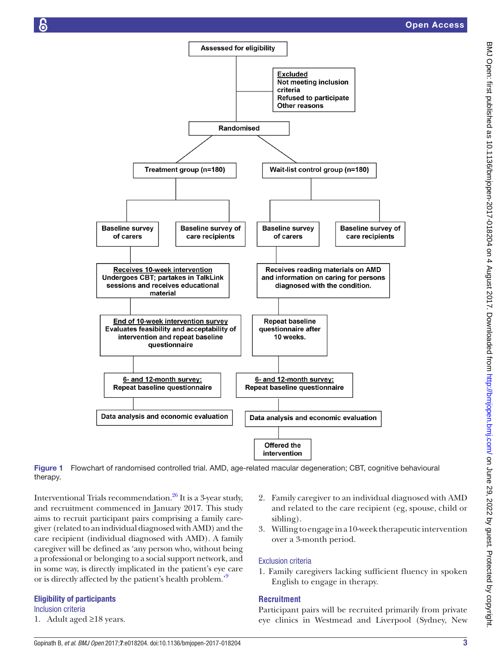

Figure 1 Flowchart of randomised controlled trial. AMD, age-related macular degeneration; CBT, cognitive behavioural therapy.

Interventional Trials recommendation.<sup>26</sup> It is a 3-year study, and recruitment commenced in January 2017. This study aims to recruit participant pairs comprising a family caregiver (related to an individual diagnosed with AMD) and the care recipient (individual diagnosed with AMD). A family caregiver will be defined as 'any person who, without being a professional or belonging to a social support network, and in some way, is directly implicated in the patient's eye care or is directly affected by the patient's health problem.<sup>[9](#page-7-4)</sup>

#### Eligibility of participants

Inclusion criteria

1. Adult aged ≥18 years.

- <span id="page-2-0"></span>2. Family caregiver to an individual diagnosed with AMD and related to the care recipient (eg, spouse, child or sibling).
- 3. Willing to engage in a 10-week therapeutic intervention over a 3-month period.

#### Exclusion criteria

1. Family caregivers lacking sufficient fluency in spoken English to engage in therapy.

#### **Recruitment**

Participant pairs will be recruited primarily from private eye clinics in Westmead and Liverpool (Sydney, New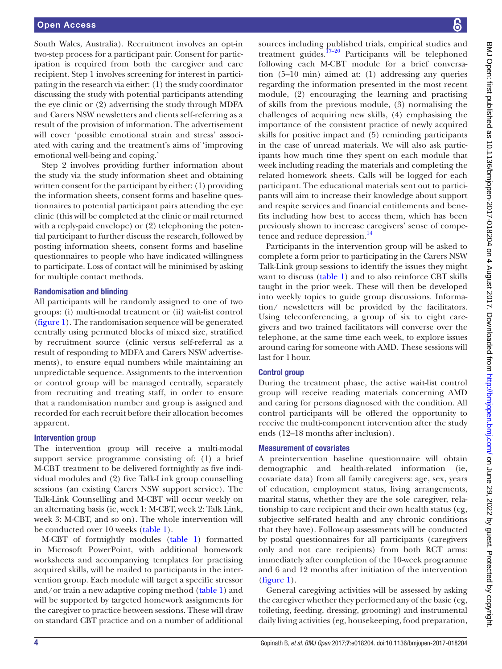South Wales, Australia). Recruitment involves an opt-in two-step process for a participant pair. Consent for participation is required from both the caregiver and care recipient. Step 1 involves screening for interest in participating in the research via either: (1) the study coordinator discussing the study with potential participants attending the eye clinic or (2) advertising the study through MDFA and Carers NSW newsletters and clients self-referring as a result of the provision of information. The advertisement will cover 'possible emotional strain and stress' associated with caring and the treatment's aims of 'improving emotional well-being and coping.'

Step 2 involves providing further information about the study via the study information sheet and obtaining written consent for the participant by either: (1) providing the information sheets, consent forms and baseline questionnaires to potential participant pairs attending the eye clinic (this will be completed at the clinic or mail returned with a reply-paid envelope) or (2) telephoning the potential participant to further discuss the research, followed by posting information sheets, consent forms and baseline questionnaires to people who have indicated willingness to participate. Loss of contact will be minimised by asking for multiple contact methods.

#### Randomisation and blinding

All participants will be randomly assigned to one of two groups: (i) multi-modal treatment or (ii) wait-list control ([figure](#page-2-0) 1). The randomisation sequence will be generated centrally using permuted blocks of mixed size, stratified by recruitment source (clinic versus self-referral as a result of responding to MDFA and Carers NSW advertisements), to ensure equal numbers while maintaining an unpredictable sequence. Assignments to the intervention or control group will be managed centrally, separately from recruiting and treating staff, in order to ensure that a randomisation number and group is assigned and recorded for each recruit before their allocation becomes apparent.

#### Intervention group

The intervention group will receive a multi-modal support service programme consisting of: (1) a brief M-CBT treatment to be delivered fortnightly as five individual modules and (2) five Talk-Link group counselling sessions (an existing Carers NSW support service). The Talk-Link Counselling and M-CBT will occur weekly on an alternating basis (ie, week 1: M-CBT, week 2: Talk Link, week 3: M-CBT, and so on). The whole intervention will be conducted over 10 weeks [\(table](#page-4-0) 1).

M-CBT of fortnightly modules ([table](#page-4-0) 1) formatted in Microsoft PowerPoint, with additional homework worksheets and accompanying templates for practising acquired skills, will be mailed to participants in the intervention group. Each module will target a specific stressor and/or train a new adaptive coping method [\(table](#page-4-0) 1) and will be supported by targeted homework assignments for the caregiver to practice between sessions. These will draw on standard CBT practice and on a number of additional

sources including published trials, empirical studies and treatment guides. $17-20$  Participants will be telephoned following each M-CBT module for a brief conversation (5–10 min) aimed at: (1) addressing any queries regarding the information presented in the most recent module, (2) encouraging the learning and practising of skills from the previous module, (3) normalising the challenges of acquiring new skills, (4) emphasising the importance of the consistent practice of newly acquired skills for positive impact and (5) reminding participants in the case of unread materials. We will also ask participants how much time they spent on each module that week including reading the materials and completing the related homework sheets. Calls will be logged for each participant. The educational materials sent out to participants will aim to increase their knowledge about support and respite services and financial entitlements and benefits including how best to access them, which has been previously shown to increase caregivers' sense of competence and reduce depression.<sup>14</sup>

Participants in the intervention group will be asked to complete a form prior to participating in the Carers NSW Talk-Link group sessions to identify the issues they might want to discuss [\(table](#page-4-0) 1) and to also reinforce CBT skills taught in the prior week. These will then be developed into weekly topics to guide group discussions. Information/ newsletters will be provided by the facilitators. Using teleconferencing, a group of six to eight caregivers and two trained facilitators will converse over the telephone, at the same time each week, to explore issues around caring for someone with AMD. These sessions will last for 1hour.

#### Control group

During the treatment phase, the active wait-list control group will receive reading materials concerning AMD and caring for persons diagnosed with the condition. All control participants will be offered the opportunity to receive the multi-component intervention after the study ends (12–18 months after inclusion).

#### Measurement of covariates

A preintervention baseline questionnaire will obtain demographic and health-related information (ie, covariate data) from all family caregivers: age, sex, years of education, employment status, living arrangements, marital status, whether they are the sole caregiver, relationship to care recipient and their own health status (eg, subjective self-rated health and any chronic conditions that they have). Follow-up assessments will be conducted by postal questionnaires for all participants (caregivers only and not care recipients) from both RCT arms: immediately after completion of the 10-week programme and 6 and 12 months after initiation of the intervention [\(figure](#page-2-0) 1).

General caregiving activities will be assessed by asking the caregiver whether they performed any of the basic (eg, toileting, feeding, dressing, grooming) and instrumental daily living activities (eg, housekeeping, food preparation,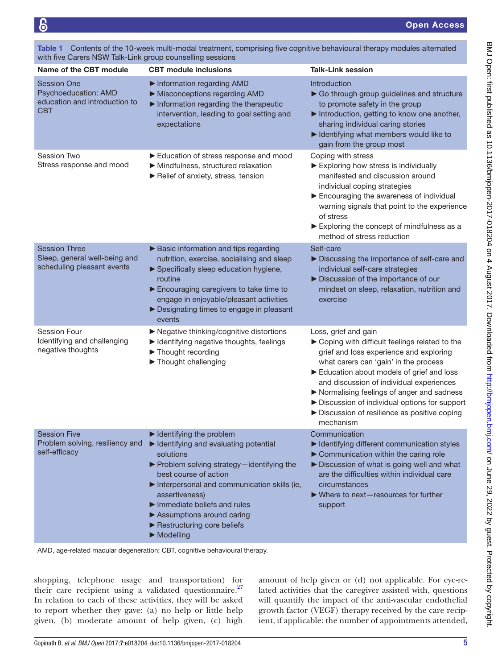| with five Carers NSW Talk-Link group counselling sessions                           |                                                                                                                                                                                                                                                                                                                                                                                                 |                                                                                                                                                                                                                                                                                                                                                                                                              |  |
|-------------------------------------------------------------------------------------|-------------------------------------------------------------------------------------------------------------------------------------------------------------------------------------------------------------------------------------------------------------------------------------------------------------------------------------------------------------------------------------------------|--------------------------------------------------------------------------------------------------------------------------------------------------------------------------------------------------------------------------------------------------------------------------------------------------------------------------------------------------------------------------------------------------------------|--|
| Name of the CBT module                                                              | <b>CBT</b> module inclusions                                                                                                                                                                                                                                                                                                                                                                    | <b>Talk-Link session</b>                                                                                                                                                                                                                                                                                                                                                                                     |  |
| <b>Session One</b><br>Psychoeducation: AMD<br>education and introduction to<br>CBT  | Information regarding AMD<br>Misconceptions regarding AMD<br>Information regarding the therapeutic<br>intervention, leading to goal setting and<br>expectations                                                                                                                                                                                                                                 | <b>Introduction</b><br>Go through group guidelines and structure<br>to promote safety in the group<br>Introduction, getting to know one another,<br>sharing individual caring stories<br>I Identifying what members would like to<br>gain from the group most                                                                                                                                                |  |
| Session Two<br>Stress response and mood                                             | Education of stress response and mood<br>Mindfulness, structured relaxation<br>Relief of anxiety, stress, tension                                                                                                                                                                                                                                                                               | Coping with stress<br>Exploring how stress is individually<br>manifested and discussion around<br>individual coping strategies<br>Encouraging the awareness of individual<br>warning signals that point to the experience<br>of stress<br>Exploring the concept of mindfulness as a<br>method of stress reduction                                                                                            |  |
| <b>Session Three</b><br>Sleep, general well-being and<br>scheduling pleasant events | Basic information and tips regarding<br>nutrition, exercise, socialising and sleep<br>Specifically sleep education hygiene,<br>routine<br>Encouraging caregivers to take time to<br>engage in enjoyable/pleasant activities<br>Designating times to engage in pleasant<br>events                                                                                                                | Self-care<br>Discussing the importance of self-care and<br>individual self-care strategies<br>Discussion of the importance of our<br>mindset on sleep, relaxation, nutrition and<br>exercise                                                                                                                                                                                                                 |  |
| Session Four<br>Identifying and challenging<br>negative thoughts                    | ▶ Negative thinking/cognitive distortions<br>I Identifying negative thoughts, feelings<br>Thought recording<br>Thought challenging                                                                                                                                                                                                                                                              | Loss, grief and gain<br>▶ Coping with difficult feelings related to the<br>grief and loss experience and exploring<br>what carers can 'gain' in the process<br>Education about models of grief and loss<br>and discussion of individual experiences<br>Normalising feelings of anger and sadness<br>Discussion of individual options for support<br>Discussion of resilience as positive coping<br>mechanism |  |
| <b>Session Five</b><br>Problem solving, resiliency and<br>self-efficacy             | $\blacktriangleright$ Identifying the problem<br>I Identifying and evaluating potential<br>solutions<br>▶ Problem solving strategy-identifying the<br>best course of action<br>Interpersonal and communication skills (ie,<br>assertiveness)<br>$\blacktriangleright$ Immediate beliefs and rules<br>Assumptions around caring<br>Restructuring core beliefs<br>$\blacktriangleright$ Modelling | Communication<br>Identifying different communication styles<br>Communication within the caring role<br>Discussion of what is going well and what<br>are the difficulties within individual care<br>circumstances<br>$\triangleright$ Where to next-resources for further<br>support                                                                                                                          |  |

<span id="page-4-0"></span>Table 1 Contents of the 10-week multi-modal treatment, comprising five cognitive behavioural therapy modules alternated

AMD, age-related macular degeneration; CBT, cognitive behavioural therapy.

shopping, telephone usage and transportation) for their care recipient using a validated questionnaire. $27$ In relation to each of these activities, they will be asked to report whether they gave: (a) no help or little help given, (b) moderate amount of help given, (c) high

amount of help given or (d) not applicable. For eye-related activities that the caregiver assisted with, questions will quantify the impact of the anti-vascular endothelial growth factor (VEGF) therapy received by the care recipient, if applicable: the number of appointments attended, BMJ Open: first published as 10.1136/bmjopen-2017-018204 on 4 August 2017. Downloaded from Dawnloaded from on June 29, 2022 by guest. Protected by copyright.

BMJ Open: first published as 10.11136/bmjopen-2017-018204 on 4 August 2017. Downloaded from http://bmjopen.bmj.com/ on June 29, 2022 by guest. Protected by copyright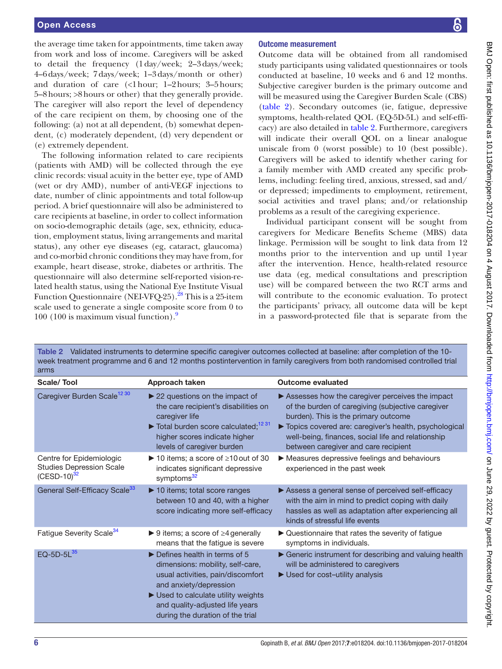the average time taken for appointments, time taken away from work and loss of income. Caregivers will be asked to detail the frequency (1day/week; 2–3days/week; 4–6days/week; 7days/week; 1–3days/month or other) and duration of care (<1hour; 1–2hours; 3–5hours; 5–8hours; >8hours or other) that they generally provide. The caregiver will also report the level of dependency of the care recipient on them, by choosing one of the following: (a) not at all dependent, (b) somewhat dependent, (c) moderately dependent, (d) very dependent or (e) extremely dependent.

The following information related to care recipients (patients with AMD) will be collected through the eye clinic records: visual acuity in the better eye, type of AMD (wet or dry AMD), number of anti-VEGF injections to date, number of clinic appointments and total follow-up period. A brief questionnaire will also be administered to care recipients at baseline, in order to collect information on socio-demographic details (age, sex, ethnicity, education, employment status, living arrangements and marital status), any other eye diseases (eg, cataract, glaucoma) and co-morbid chronic conditions they may have from, for example, heart disease, stroke, diabetes or arthritis. The questionnaire will also determine self-reported vision-related health status, using the National Eye Institute Visual Function Questionnaire (NEI-VFQ-25).<sup>28</sup> This is a 25-item scale used to generate a single composite score from 0 to 100 (100 is maximum visual function). $9$ 

# 8

#### Outcome measurement

Outcome data will be obtained from all randomised study participants using validated questionnaires or tools conducted at baseline, 10 weeks and 6 and 12 months. Subjective caregiver burden is the primary outcome and will be measured using the Caregiver Burden Scale (CBS) [\(table](#page-5-0) 2). Secondary outcomes (ie, fatigue, depressive symptoms, health-related QOL (EQ-5D-5L) and self-efficacy) are also detailed in [table](#page-5-0) 2. Furthermore, caregivers will indicate their overall QOL on a linear analogue uniscale from 0 (worst possible) to 10 (best possible). Caregivers will be asked to identify whether caring for a family member with AMD created any specific problems, including: feeling tired, anxious, stressed, sad and/ or depressed; impediments to employment, retirement, social activities and travel plans; and/or relationship problems as a result of the caregiving experience.

Individual participant consent will be sought from caregivers for Medicare Benefits Scheme (MBS) data linkage. Permission will be sought to link data from 12 months prior to the intervention and up until 1year after the intervention. Hence, health-related resource use data (eg, medical consultations and prescription use) will be compared between the two RCT arms and will contribute to the economic evaluation. To protect the participants' privacy, all outcome data will be kept in a password-protected file that is separate from the

| week treatment programme and 6 and 12 months postintervention in family caregivers from both randomised controlled trial<br>arms |                                                                                                                                                                                                                                                              |                                                                                                                                                                                                                                                                                                       |  |
|----------------------------------------------------------------------------------------------------------------------------------|--------------------------------------------------------------------------------------------------------------------------------------------------------------------------------------------------------------------------------------------------------------|-------------------------------------------------------------------------------------------------------------------------------------------------------------------------------------------------------------------------------------------------------------------------------------------------------|--|
| Scale/Tool                                                                                                                       | Approach taken                                                                                                                                                                                                                                               | <b>Outcome evaluated</b>                                                                                                                                                                                                                                                                              |  |
| Caregiver Burden Scale <sup>12 30</sup>                                                                                          | $\triangleright$ 22 questions on the impact of<br>the care recipient's disabilities on<br>caregiver life<br>$\triangleright$ Total burden score calculated: <sup>12 31</sup><br>higher scores indicate higher<br>levels of caregiver burden                  | ▶ Assesses how the caregiver perceives the impact<br>of the burden of caregiving (subjective caregiver<br>burden). This is the primary outcome<br>Topics covered are: caregiver's health, psychological<br>well-being, finances, social life and relationship<br>between caregiver and care recipient |  |
| Centre for Epidemiologic<br><b>Studies Depression Scale</b><br>$(CESD-10)^{32}$                                                  | ▶ 10 items; a score of $\geq$ 10 out of 30<br>indicates significant depressive<br>symptoms <sup>32</sup>                                                                                                                                                     | Measures depressive feelings and behaviours<br>experienced in the past week                                                                                                                                                                                                                           |  |
| General Self-Efficacy Scale <sup>33</sup>                                                                                        | ▶ 10 items; total score ranges<br>between 10 and 40, with a higher<br>score indicating more self-efficacy                                                                                                                                                    | Assess a general sense of perceived self-efficacy<br>with the aim in mind to predict coping with daily<br>hassles as well as adaptation after experiencing all<br>kinds of stressful life events                                                                                                      |  |
| Fatigue Severity Scale <sup>34</sup>                                                                                             | ▶ 9 items; a score of $\geq$ 4 generally<br>means that the fatigue is severe                                                                                                                                                                                 | ▶ Questionnaire that rates the severity of fatigue<br>symptoms in individuals.                                                                                                                                                                                                                        |  |
| EQ-5D-5L $^{35}$                                                                                                                 | $\triangleright$ Defines health in terms of 5<br>dimensions: mobility, self-care,<br>usual activities, pain/discomfort<br>and anxiety/depression<br>Used to calculate utility weights<br>and quality-adjusted life years<br>during the duration of the trial | Generic instrument for describing and valuing health<br>will be administered to caregivers<br>$\blacktriangleright$ Used for cost-utility analysis                                                                                                                                                    |  |

<span id="page-5-0"></span>Table 2 Validated instruments to determine specific caregiver outcomes collected at baseline: after completion of the 10-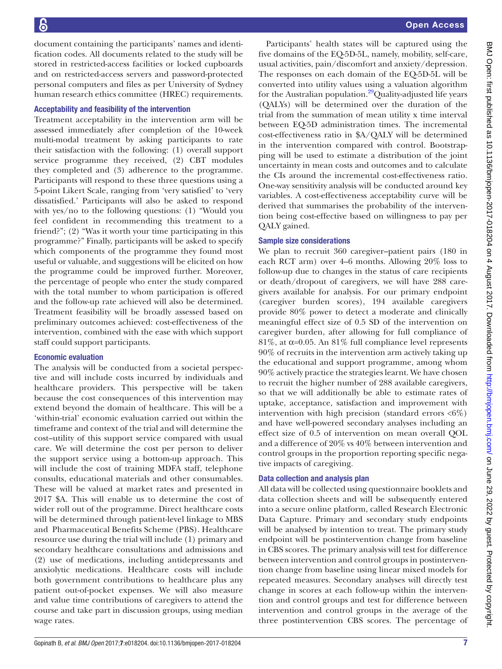document containing the participants' names and identification codes. All documents related to the study will be stored in restricted-access facilities or locked cupboards and on restricted-access servers and password-protected personal computers and files as per University of Sydney human research ethics committee (HREC) requirements.

#### Acceptability and feasibility of the intervention

Treatment acceptability in the intervention arm will be assessed immediately after completion of the 10-week multi-modal treatment by asking participants to rate their satisfaction with the following: (1) overall support service programme they received, (2) CBT modules they completed and (3) adherence to the programme. Participants will respond to these three questions using a 5-point Likert Scale, ranging from 'very satisfied' to 'very dissatisfied.' Participants will also be asked to respond with yes/no to the following questions: (1) "Would you feel confident in recommending this treatment to a friend?"; (2) "Was it worth your time participating in this programme?" Finally, participants will be asked to specify which components of the programme they found most useful or valuable, and suggestions will be elicited on how the programme could be improved further. Moreover, the percentage of people who enter the study compared with the total number to whom participation is offered and the follow-up rate achieved will also be determined. Treatment feasibility will be broadly assessed based on preliminary outcomes achieved: cost-effectiveness of the intervention, combined with the ease with which support staff could support participants.

#### Economic evaluation

The analysis will be conducted from a societal perspective and will include costs incurred by individuals and healthcare providers. This perspective will be taken because the cost consequences of this intervention may extend beyond the domain of healthcare. This will be a 'within-trial' economic evaluation carried out within the timeframe and context of the trial and will determine the cost–utility of this support service compared with usual care. We will determine the cost per person to deliver the support service using a bottom-up approach. This will include the cost of training MDFA staff, telephone consults, educational materials and other consumables. These will be valued at market rates and presented in 2017 \$A. This will enable us to determine the cost of wider roll out of the programme. Direct healthcare costs will be determined through patient-level linkage to MBS and Pharmaceutical Benefits Scheme (PBS). Healthcare resource use during the trial will include (1) primary and secondary healthcare consultations and admissions and (2) use of medications, including antidepressants and anxiolytic medications. Healthcare costs will include both government contributions to healthcare plus any patient out-of-pocket expenses. We will also measure and value time contributions of caregivers to attend the course and take part in discussion groups, using median wage rates.

Participants' health states will be captured using the five domains of the EQ-5D-5L, namely, mobility, self-care, usual activities, pain/discomfort and anxiety/depression. The responses on each domain of the EQ-5D-5L will be converted into utility values using a valuation algorithm for the Australian population.<sup>29</sup>Quality-adjusted life years (QALYs) will be determined over the duration of the trial from the summation of mean utility x time interval between EQ-5D administration times. The incremental cost-effectiveness ratio in \$A/QALY will be determined in the intervention compared with control. Bootstrapping will be used to estimate a distribution of the joint uncertainty in mean costs and outcomes and to calculate the CIs around the incremental cost-effectiveness ratio. One-way sensitivity analysis will be conducted around key variables. A cost-effectiveness acceptability curve will be derived that summarises the probability of the intervention being cost-effective based on willingness to pay per QALY gained.

#### Sample size considerations

We plan to recruit 360 caregiver–patient pairs (180 in each RCT arm) over 4–6 months. Allowing 20% loss to follow-up due to changes in the status of care recipients or death/dropout of caregivers, we will have 288 caregivers available for analysis. For our primary endpoint (caregiver burden scores), 194 available caregivers provide 80% power to detect a moderate and clinically meaningful effect size of 0.5 SD of the intervention on caregiver burden, after allowing for full compliance of 81%, at  $\alpha$ =0.05. An 81% full compliance level represents 90% of recruits in the intervention arm actively taking up the educational and support programme, among whom 90% actively practice the strategies learnt. We have chosen to recruit the higher number of 288 available caregivers, so that we will additionally be able to estimate rates of uptake, acceptance, satisfaction and improvement with intervention with high precision (standard errors  $\langle 6\% \rangle$ ) and have well-powered secondary analyses including an effect size of 0.5 of intervention on mean overall QOL and a difference of 20% vs 40% between intervention and control groups in the proportion reporting specific negative impacts of caregiving.

### Data collection and analysis plan

All data will be collected using questionnaire booklets and data collection sheets and will be subsequently entered into a secure online platform, called Research Electronic Data Capture. Primary and secondary study endpoints will be analysed by intention to treat. The primary study endpoint will be postintervention change from baseline in CBS scores. The primary analysis will test for difference between intervention and control groups in postintervention change from baseline using linear mixed models for repeated measures. Secondary analyses will directly test change in scores at each follow-up within the intervention and control groups and test for difference between intervention and control groups in the average of the three postintervention CBS scores. The percentage of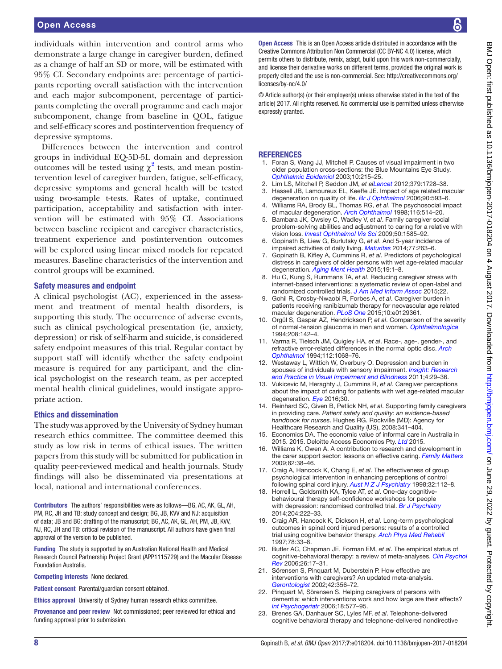individuals within intervention and control arms who demonstrate a large change in caregiver burden, defined as a change of half an SD or more, will be estimated with 95% CI. Secondary endpoints are: percentage of participants reporting overall satisfaction with the intervention and each major subcomponent, percentage of participants completing the overall programme and each major subcomponent, change from baseline in QOL, fatigue and self-efficacy scores and postintervention frequency of depressive symptoms.

Differences between the intervention and control groups in individual EQ-5D-5L domain and depression outcomes will be tested using  $\chi^2$  $\chi^2$  tests, and mean postintervention level of caregiver burden, fatigue, self-efficacy, depressive symptoms and general health will be tested using two-sample t-tests. Rates of uptake, continued participation, acceptability and satisfaction with intervention will be estimated with 95% CI. Associations between baseline recipient and caregiver characteristics, treatment experience and postintervention outcomes will be explored using linear mixed models for repeated measures. Baseline characteristics of the intervention and control groups will be examined.

#### Safety measures and endpoint

A clinical psychologist (AC), experienced in the assessment and treatment of mental health disorders, is supporting this study. The occurrence of adverse events, such as clinical psychological presentation (ie, anxiety, depression) or risk of self-harm and suicide, is considered safety endpoint measures of this trial. Regular contact by support staff will identify whether the safety endpoint measure is required for any participant, and the clinical psychologist on the research team, as per accepted mental health clinical guidelines, would instigate appropriate action.

#### Ethics and dissemination

The study was approved by the University of Sydney human research ethics committee. The committee deemed this study as low risk in terms of ethical issues. The written papers from this study will be submitted for publication in quality peer-reviewed medical and health journals. Study findings will also be disseminated via presentations at local, national and international conferences.

Contributors The authors' responsibilities were as follows—BG, AC, AK, GL, AH, PM, RC, JH and TB: study concept and design; BG, JB, KVV and NJ: acquisition of data; JB and BG: drafting of the manuscript; BG, AC, AK, GL, AH, PM, JB, KVV, NJ, RC, JH and TB: critical revision of the manuscript. All authors have given final approval of the version to be published.

Funding The study is supported by an Australian National Health and Medical Research Council Partnership Project Grant (APP1115729) and the Macular Disease Foundation Australia.

Competing interests None declared.

Patient consent Parental/guardian consent obtained.

Ethics approval University of Sydney human research ethics committee.

Provenance and peer review Not commissioned; peer reviewed for ethical and funding approval prior to submission.

BMJ Open: first published as 10.1136/bmjopen-2017-018204 on 4 August 2017. Downloaded from http://bmjopen.bmj.com/ on June 29, 2022 by guest. Protected by copyrigh BMJ Open: first published as 10.1136/bmjopen-2017-018204 on 4 August 2017. Downloaded from Dawnloaded from on June 29, 2022 by guest. Protected by copyright.

Open Access This is an Open Access article distributed in accordance with the Creative Commons Attribution Non Commercial (CC BY-NC 4.0) license, which permits others to distribute, remix, adapt, build upon this work non-commercially, and license their derivative works on different terms, provided the original work is properly cited and the use is non-commercial. See: [http://creativecommons.org/](http://creativecommons.org/licenses/by-nc/4.0/) [licenses/by-nc/4.0/](http://creativecommons.org/licenses/by-nc/4.0/)

© Article author(s) (or their employer(s) unless otherwise stated in the text of the article) 2017. All rights reserved. No commercial use is permitted unless otherwise expressly granted.

#### **REFERENCES**

- <span id="page-7-0"></span>1. Foran S, Wang JJ, Mitchell P. Causes of visual impairment in two older population cross-sections: the Blue Mountains Eye Study. *[Ophthalmic Epidemiol](http://dx.doi.org/10.1076/opep.10.4.215.15906)* 2003;10:215–25.
- <span id="page-7-1"></span>2. Lim LS, Mitchell P, Seddon JM, *et alLancet* 2012;379:1728–38.
- <span id="page-7-2"></span>Hassell JB, Lamoureux EL, Keeffe JE. Impact of age related macular degeneration on quality of life. *[Br J Ophthalmol](http://dx.doi.org/10.1136/bjo.2005.086595)* 2006;90:593–6.
- 4. Williams RA, Brody BL, Thomas RG, *et al*. The psychosocial impact of macular degeneration. *[Arch Ophthalmol](http://dx.doi.org/10.1001/archopht.116.4.514)* 1998;116:514–20.
- <span id="page-7-3"></span>5. Bambara JK, Owsley C, Wadley V, *et al*. Family caregiver social problem-solving abilities and adjustment to caring for a relative with vision loss. *[Invest Ophthalmol Vis Sci](http://dx.doi.org/10.1167/iovs.08-2744)* 2009;50:1585–92.
- 6. Gopinath B, Liew G, Burlutsky G, *et al*. And 5-year incidence of impaired activities of daily living. *Maturitas* 2014;77:263–6.
- <span id="page-7-6"></span>7. Gopinath B, Kifley A, Cummins R, *et al*. Predictors of psychological distress in caregivers of older persons with wet age-related macular degeneration. *[Aging Ment Health](http://dx.doi.org/10.1080/13607863.2014.924477)* 2015;19:1–8.
- 8. Hu C, Kung S, Rummans TA, *et al*. Reducing caregiver stress with internet-based interventions: a systematic review of open-label and randomized controlled trials. *[J Am Med Inform Assoc](http://dx.doi.org/10.1136/amiajnl-2014-002817)* 2015;22.
- <span id="page-7-4"></span>9. Gohil R, Crosby-Nwaobi R, Forbes A, *et al*. Caregiver burden in patients receiving ranibizumab therapy for neovascular age related macular degeneration. *[PLoS One](http://dx.doi.org/10.1371/journal.pone.0129361)* 2015;10:e0129361.
- <span id="page-7-5"></span>10. Orgül S, Gaspar AZ, Hendrickson P, *et al*. Comparison of the severity of normal-tension glaucoma in men and women. *[Ophthalmologica](http://dx.doi.org/10.1159/000310471)* 1994;208:142–4.
- 11. Varma R, Tielsch JM, Quigley HA, *et al*. Race-, age-, gender-, and refractive error-related differences in the normal optic disc. *[Arch](http://dx.doi.org/10.1001/archopht.1994.01090200074026)  [Ophthalmol](http://dx.doi.org/10.1001/archopht.1994.01090200074026)* 1994;112:1068–76.
- <span id="page-7-7"></span>12. Westaway L, Wittich W, Overbury O. Depression and burden in spouses of individuals with sensory impairment. *Insight: Research and Practice in Visual Impairment and Blindness* 2011;4:29–36.
- <span id="page-7-8"></span>13. Vukicevic M, Heraghty J, Cummins R, *et al*. Caregiver perceptions about the impact of caring for patients with wet age-related macular degeneration. *[Eye](http://dx.doi.org/10.1038/eye.2015.235)* 2016;30.
- <span id="page-7-9"></span>14. Reinhard SC, Given B, Petlick NH, *et al*. Supporting family caregivers in providing care. *Patient safety and quality: an evidence-based handbook for nurses*. Hughes RG. Rockville (MD): Agency for Healthcare Research and Quality (US), 2008:341–404.
- <span id="page-7-10"></span>15. Economics DA. The economic value of informal care in Australia in 2015. 2015. Deloitte Access Economics Pty. *Ltd* 2015.
- <span id="page-7-11"></span>16. Williams K, Owen A. A contribution to research and development in the carer support sector: lessons on effective caring. *Family Matters* 2009;82:38–46.
- <span id="page-7-12"></span>17. Craig A, Hancock K, Chang E, *et al*. The effectiveness of group psychological intervention in enhancing perceptions of control following spinal cord injury. *[Aust N Z J Psychiatry](http://dx.doi.org/10.3109/00048679809062717)* 1998;32:112–8.
- 18. Horrell L, Goldsmith KA, Tylee AT, *et al*. One-day cognitivebehavioural therapy self-confidence workshops for people with depression: randomised controlled trial. *[Br J Psychiatry](http://dx.doi.org/10.1192/bjp.bp.112.121855)* 2014;204:222–33.
- 19. Craig AR, Hancock K, Dickson H, *et al*. Long-term psychological outcomes in spinal cord injured persons: results of a controlled trial using cognitive behavior therapy. *[Arch Phys Med Rehabil](http://dx.doi.org/10.1016/S0003-9993(97)90006-X)* 1997;78:33–8.
- 20. Butler AC, Chapman JE, Forman EM, *et al*. The empirical status of cognitive-behavioral therapy: a review of meta-analyses. *[Clin Psychol](http://dx.doi.org/10.1016/j.cpr.2005.07.003)  [Rev](http://dx.doi.org/10.1016/j.cpr.2005.07.003)* 2006;26:17–31.
- 21. Sörensen S, Pinquart M, Duberstein P. How effective are interventions with caregivers? An updated meta-analysis. *[Gerontologist](http://dx.doi.org/10.1093/geront/42.3.356)* 2002;42:356–72.
- 22. Pinquart M, Sörensen S. Helping caregivers of persons with dementia: which interventions work and how large are their effects? *[Int Psychogeriatr](http://dx.doi.org/10.1017/S1041610206003462)* 2006;18:577–95.
- <span id="page-7-13"></span>23. Brenes GA, Danhauer SC, Lyles MF, *et al*. Telephone-delivered cognitive behavioral therapy and telephone-delivered nondirective